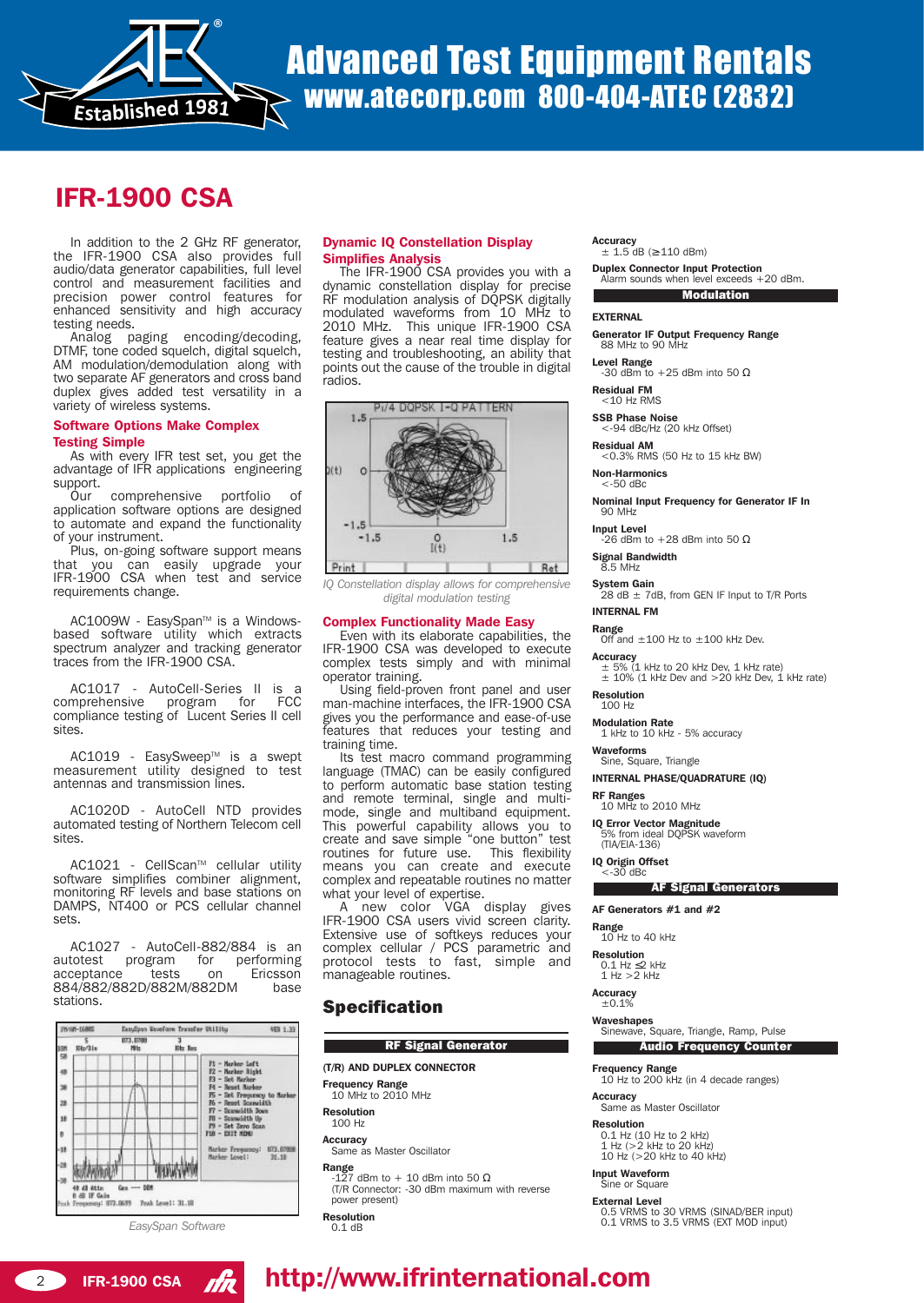

# Advanced Test Equipment Rentals www.atecorp.com 800-404-ATEC (2832)

# IFR-1900 CSA

In addition to the 2 GHz RF generator, the IFR-1900 CSA also provides full audio/data generator capabilities, full level control and measurement facilities and precision power control features for enhanced sensitivity and high accuracy testing needs.

Analog paging encoding/decoding, DTMF, tone coded squelch, digital squelch, AM modulation/demodulation along with two separate AF generators and cross band duplex gives added test versatility in a variety of wireless systems.

#### Software Options Make Complex Testing Simple

As with every IFR test set, you get the advantage of IFR applications engineering support.

Our comprehensive portfolio of application software options are designed to automate and expand the functionality of your instrument.

Plus, on-going software support means that you can easily upgrade your IFR-1900 CSA when test and service requirements change.

AC1009W - EasySpan<sup>™</sup> is a Windowsbased software utility which extracts spectrum analyzer and tracking generator traces from the IFR-1900 CSA.

AC1017 - AutoCell-Series II is a comprehensive compliance testing of Lucent Series II cell sites.

AC1019 - EasySweep™ is a swept measurement utility designed to test antennas and transmission lines.

AC1020D - AutoCell NTD provides automated testing of Northern Telecom cell sites.

AC1021 - CellScan™ cellular utility software simplifies combiner alignment, monitoring RF levels and base stations on DAMPS, NT400 or PCS cellular channel sets.

AC1027 - AutoCell-882/884 is an<br>totest program for performing autotest program for performing acceptance tests on Ericsson 884/882/882D/882M/882DM base stations.



*EasySpan Software*

### Dynamic IQ Constellation Display Simplifies Analysis

The IFR-1900 CSA provides you with a dynamic constellation display for precise RF modulation analysis of DQPSK digitally modulated waveforms from 10 MHz to 2010 MHz. This unique IFR-1900 CSA feature gives a near real time display for testing and troubleshooting, an ability that points out the cause of the trouble in digital radios.



*IQ Constellation display allows for comprehensive digital modulation testing* 

#### Complex Functionality Made Easy

Even with its elaborate capabilities, the IFR-1900 CSA was developed to execute complex tests simply and with minimal operator training.

Using field-proven front panel and user man-machine interfaces, the IFR-1900 CSA gives you the performance and ease-of-use features that reduces your testing and training time.

Its test macro command programming language (TMAC) can be easily configured to perform automatic base station testing and remote terminal, single and multimode, single and multiband equipment. This powerful capability allows you to create and save simple "one button" test routines for future use. This flexibility means you can create and execute complex and repeatable routines no matter what your level of expertise.

A new color VGA display gives IFR-1900 CSA users vivid screen clarity. Extensive use of softkeys reduces your complex cellular / PCS parametric and protocol tests to fast, simple and manageable routines.

## Specification

#### RF Signal Generator

- (T/R) AND DUPLEX CONNECTOR
- Frequency Range
- 10 MHz to 2010 MHz
- Resolution 100 Hz
- **Accuracy**
- Same as Master Oscillator

**Range**<br>-127 dBm to + 10 dBm into 50 Ω (T/R Connector: -30 dBm maximum with reverse power present)

Resolution  $0.1$  dB

#### Accuracy

 $± 1.5$  dB ( $≥$ -110 dBm)

Duplex Connector Input Protection Alarm sounds when level exceeds +20 dBm. **Modulation** 

#### EXTERNAL

Generator IF Output Frequency Range<br>88 MHz to 90 MHz

Level Range<br>-30 dBm to +25 dBm into 50 Ω

Residual FM<br>
<10 Hz RMS

- **SSB Phase Noise**<br><-94 dBc/Hz (20 kHz Offset)
- Residual AM <0.3% RMS (50 Hz to 15 kHz BW)
- Non-Harmonics

<-50 dBc

Nominal Input Frequency for Generator IF In 90 MHz

Input Level<br>-26 dBm to +28 dBm into 50 Ω

Signal Bandwidth 8.5 MHz

System Gain<br>28 dB ± 7dB, from GEN IF Input to T/R Ports

### INTERNAL FM

**Range**<br>Off and  $\pm 100$  Hz to  $\pm 100$  kHz Dev.

**Accuracy** 

± 5% (1 kHz to 20 kHz Dev, 1 kHz rate) ± 10% (1 kHz Dev and >20 kHz Dev, 1 kHz rate)

#### Resolution 100 Hz

Modulation Rate

1 kHz to 10 kHz - 5% accuracy

#### Waveforms Sine, Square, Triangle

INTERNAL PHASE/QUADRATURE (IQ)

RF Ranges<br>10 MHz to 2010 MHz

IQ Error Vector Magnitude 5% from ideal DQPSK waveform

(TIA/EIA-136)

IQ Origin Offset <-30 dBc

#### **Example 25 AF Signal Generators**

AF Generators #1 and #2

Range<br>10 Hz to 40 kHz

**Resolution**<br>0.1 Hz ≤2 kHz<br>1 Hz >2 kHz

**Accuracy** 

 $±0.1%$ 

Waveshapes<br>Sinewave, Square, Triangle, Ramp, Pulse

Audio Frequency Counter

Frequency Range

10 Hz to 200 kHz (in 4 decade ranges)

Accuracy<br>Same as Master Oscillator

**Resolution**<br>
0.1 Hz (10 Hz to 2 kHz)<br>
1 Hz (>2 kHz to 20 kHz) 10 Hz (>20 kHz to 40 kHz)

Input Waveform **Sine or Square** 

External Level

0.5 VRMS to 30 VRMS (SINAD/BER input) 0.1 VRMS to 3.5 VRMS (EXT MOD input)

# **2 IFR-1900 CSA ARE http://www.ifrinternational.com**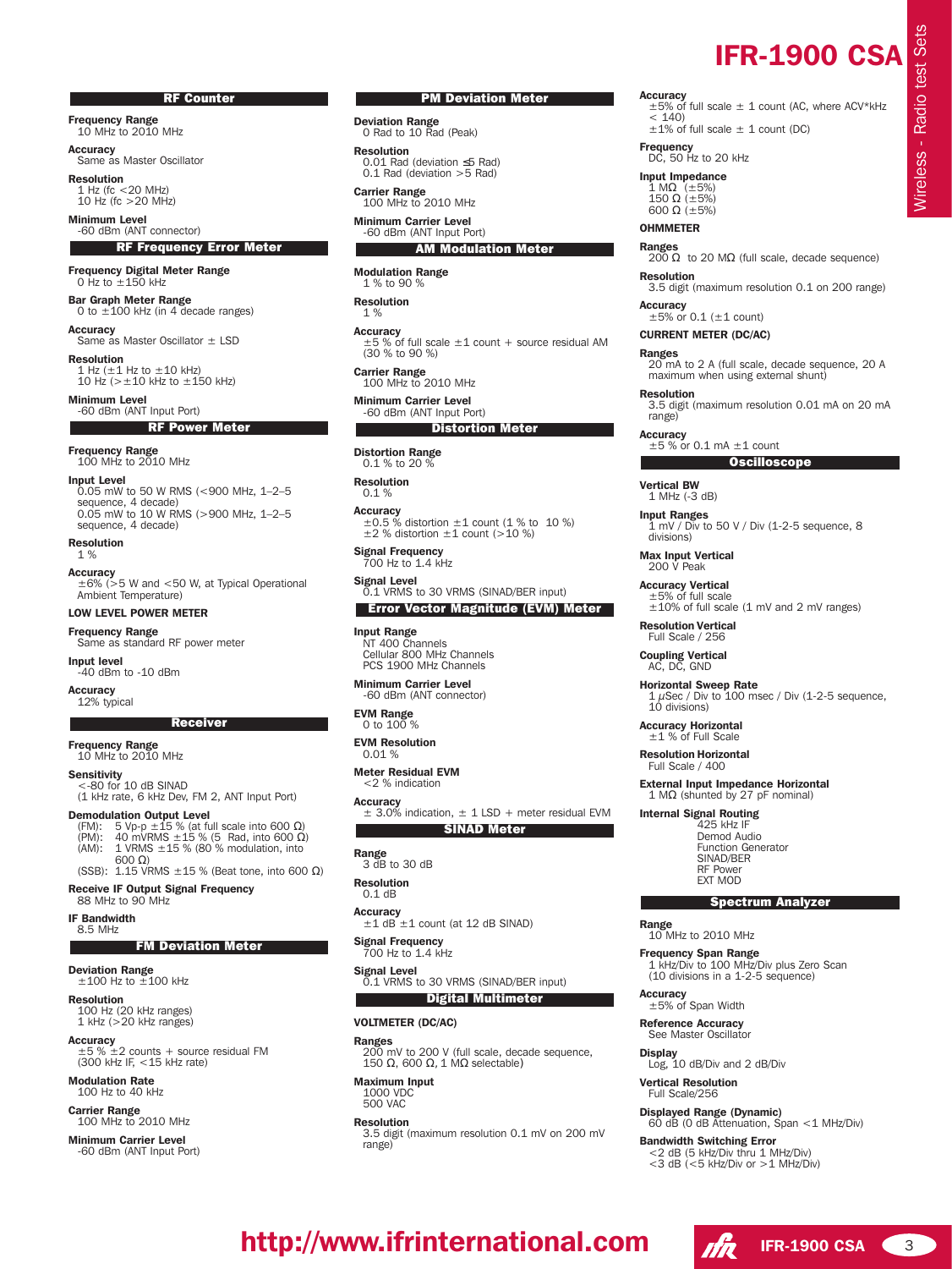#### RF Counter

**Frequency Range**<br>10 MHz to 2010 MHz

**Accuracy** Same as Master Oscillator

Resolution  $1$  Hz (fc  $<$  20 MHz) 10 Hz (fc  $>20$  MHz)

Minimum Level -60 dBm (ANT connector) **RF Frequency Error Meter** 

Frequency Digital Meter Range  $0$  Hz to  $+150$  kHz

Bar Graph Meter Range 0 to  $\pm 100$  kHz (in 4 decade ranges)

Accuracy Same as Master Oscillator ± LSD

Resolution 1 Hz  $(\pm 1$  Hz to  $\pm 10$  kHz)  $10$  Hz ( $> \pm 10$  kHz to  $\pm 150$  kHz)

**Minimum Level**<br>-60 dBm (ANT Input Port) RF Power Meter

Frequency Range<br>100 MHz to 2010 MHz

Input Level put **Ecver**<br>0.05 mW to 50 W RMS (<900 MHz, 1–2–5 sequence, 4 decade) 0.05 mW to 10 W RMS (>900 MHz, 1-2-5 sequence, 4 decade)

Resolution 1 %

Accuracy ±6% (>5 W and <50 W, at Typical Operational Ambient Temperature)

#### LOW LEVEL POWER METER

Frequency Range Same as standard RF power meter

Input level -40 dBm to -10 dBm Accuracy

12% typical

#### **Receiver**

Frequency Range 10 MHz to 2010 MHz

**Sensitivity** 

<-80 for 10 dB SINAD (1 kHz rate, 6 kHz Dev, FM 2, ANT Input Port)

**Demodulation Output Level**<br>(FM): 5 Vp-p ±15 % (at full scale into 600 Ω)<br>(PM): 40 mVRMS ±15 % (5 Rad, into 600 Ω)<br>(AM): 1 VRMS ±15 % (80 % modulation, into  $600 \Omega$ ) (SSB): 1.15 VRMS  $\pm$ 15 % (Beat tone, into 600 Ω)

Receive IF Output Signal Frequency

88 MHz to 90 MHz

#### IF Bandwidth

8.5 MHz

**FM Deviation Meter** 

#### Deviation Range

 $\pm$ 100 Hz to  $\pm$ 100 kHz Resolution

100 Hz (20 kHz ranges) 1 kHz (>20 kHz ranges)

**Accuracy**<br>±5 % ±2 counts + source residual FM<br>(300 kHz IF, <15 kHz rate)

**Modulation Rate**<br>100 Hz to 40 kHz

Carrier Range<br>100 MHz to 2010 MHz

Minimum Carrier Level -60 dBm (ANT Input Port)

#### PM Deviation Meter

**Deviation Range**<br>
0 Rad to 10 Rad (Peak)

Resolution 0.01 Rad (deviation ≤5 Rad) 0.1 Rad (deviation >5 Rad)

Carrier Range<br>100 MHz to 2010 MHz Minimum Carrier Level

-60 dBm (ANT Input Port) AM Modulation Meter

Modulation Range 1 % to 90 %

Resolution 1 %

**Accuracy**  $\pm$ 5 % of full scale  $\pm$ 1 count + source residual AM (30 % to 90 %)

Carrier Range 100 MHz to 2010 MHz

Minimum Carrier Level -60 dBm (ANT Input Port)

### **Distortion Meter**

Distortion Range 0.1 % to 20 %

Resolution  $0.1 \%$ 

Accuracy  $\pm 0.5$  % distortion  $\pm 1$  count (1 % to 10 %)<br> $\pm 2$  % distortion  $\pm 1$  count (>10 %)

Signal Frequency<br>700 Hz to 1.4 kHz

Signal Level<br>
0.1 VRMS to 30 VRMS (SINAD/BER input) Error Vector Magnitude (EVM) Meter

Input Range NT 400 Channels Cellular 800 MHz Channels PCS 1900 MHz Channels

Minimum Carrier Level -60 dBm (ANT connector)

EVM Range 0 to 100 %

EVM Resolution 0.01 %

Meter Residual EVM <2 % indication

Accuracy<br>  $\pm$  3.0% indication,  $\pm$  1 LSD + meter residual EVM

SINAD Meter

**Range**<br>3 dB to 30 dB

Resolution

0.1 dB

Accuracy<br>  $\pm 1$  dB  $\pm 1$  count (at 12 dB SINAD)

Signal Frequency 700 Hz to 1.4 kHz

Signal Level<br>0.1 VRMS to 30 VRMS (SINAD/BER input) Digital Multimeter

VOLTMETER (DC/AC)

Ranges

200 mV to 200 V (full scale, decade sequence, 150 Ω, 600 Ω, 1 MΩ selectable)

Maximum Input 1000 VDC 500 VAC

Resolution

3.5 digit (maximum resolution 0.1 mV on 200 mV range)

Accuracy ±5% of full scale ± 1 count (AC, where ACV\*kHz < 140) ±1% of full scale ± 1 count (DC)

IFR-1900 CSA

Wireless - Radio test Sets

Nireless - Radio test Sets

Frequency<br>DC, 50 Hz to 20 kHz

Input Impedance 1 MΩ (±5%) 150 Ω (±5%)

600  $\Omega$  ( $\pm$ 5%)

# **OHMMETER**

**Ranges**<br>200 Ω to 20 MΩ (full scale, decade sequence)

Resolution 3.5 digit (maximum resolution 0.1 on 200 range)

**Accuracy**  $\pm$ 5% or 0.1 ( $\pm$ 1 count)

CURRENT METER (DC/AC)

#### Ranges

20 mA to 2 A (full scale, decade sequence, 20 A maximum when using external shunt)

Resolution

3.5 digit (maximum resolution 0.01 mA on 20 mA range)

Accuracy<br> $\pm 5$  % or 0.1 mA  $\pm 1$  count

**Oscilloscope** 

Vertical BW 1 MHz (-3 dB) Input Ranges

1 mV / Div to 50 V / Div (1-2-5 sequence, 8 divisions)

Max Input Vertical 200 V Peak

Accuracy Vertical  $±5%$  of full scale ±10% of full scale (1 mV and 2 mV ranges)

Resolution Vertical

Full Scale / 256

Coupling Vertical AC, DC, GND

Horizontal Sweep Rate 1 µSec / Div to 100 msec / Div (1-2-5 sequence, 10 divisions)

Accuracy Horizontal ±1 % of Full Scale

Resolution Horizontal Full Scale / 400

Internal Signal Routing 425 kHz IF Demod Audio Function Generator SINAD/BER RF Power EXT MOD

Range<br>10 MHz to 2010 MHz Frequency Span Range

±5% of Span Width Reference Accuracy See Master Oscillator

Vertical Resolution Full Scale/256

Log, 10 dB/Div and 2 dB/Div

Displayed Range (Dynamic)

Bandwidth Switching Error <2 dB (5 kHz/Div thru 1 MHz/Div)  $<$ 3 dB ( $<$ 5 kHz/Div or  $>$ 1 MHz/Div)

**Accuracy** 

**Display** 

http://www.ifrinternational.com  $\sqrt{R}$  IFR-1900 CSA 3

External Input Impedance Horizontal 1 MΩ (shunted by 27 pF nominal)

1 kHz/Div to 100 MHz/Div plus Zero Scan (10 divisions in a 1-2-5 sequence)

Spectrum Analyzer

60 dB (0 dB Attenuation, Span <1 MHz/Div)